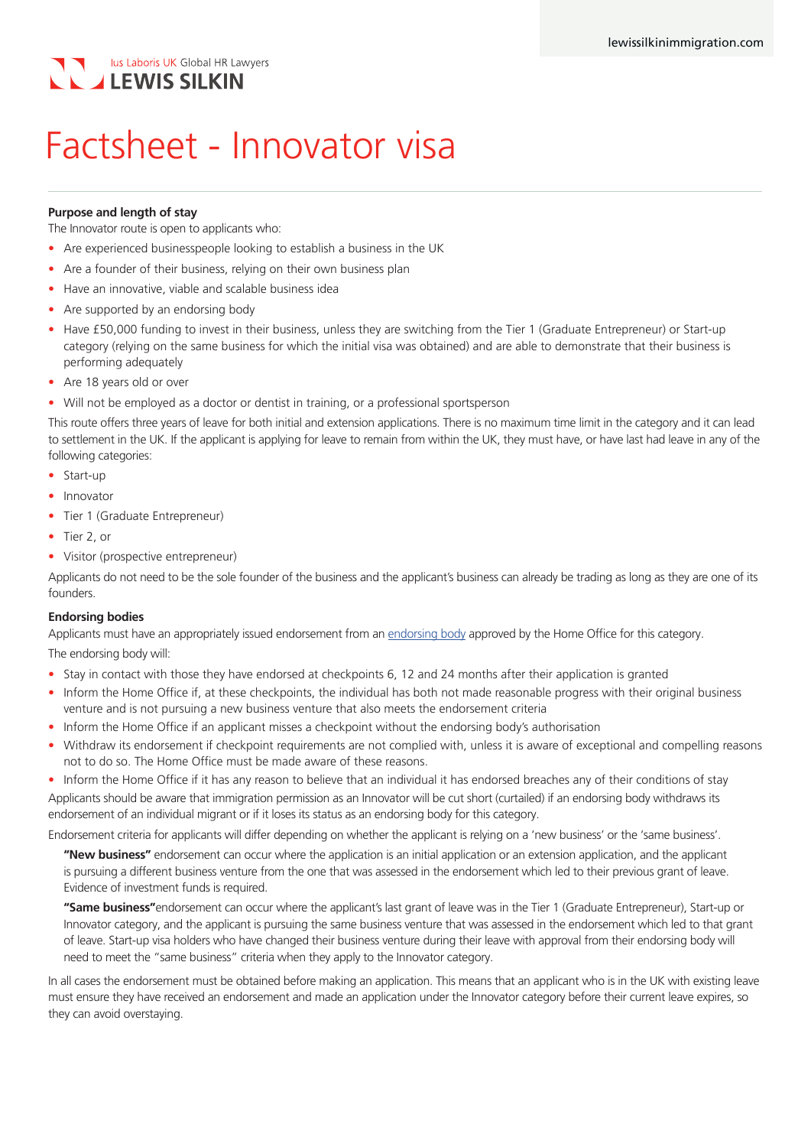## lus Laboris UK Global HR Lawyers **LEWIS SILKIN**

# Factsheet - Innovator visa

#### **Purpose and length of stay**

The Innovator route is open to applicants who:

- Are experienced businesspeople looking to establish a business in the UK
- Are a founder of their business, relying on their own business plan
- Have an innovative, viable and scalable business idea
- Are supported by an endorsing body
- Have £50,000 funding to invest in their business, unless they are switching from the Tier 1 (Graduate Entrepreneur) or Start-up category (relying on the same business for which the initial visa was obtained) and are able to demonstrate that their business is performing adequately
- Are 18 years old or over
- Will not be employed as a doctor or dentist in training, or a professional sportsperson

This route offers three years of leave for both initial and extension applications. There is no maximum time limit in the category and it can lead to settlement in the UK. If the applicant is applying for leave to remain from within the UK, they must have, or have last had leave in any of the following categories:

- Start-up
- Innovator
- Tier 1 (Graduate Entrepreneur)
- Tier 2, or
- Visitor (prospective entrepreneur)

Applicants do not need to be the sole founder of the business and the applicant's business can already be trading as long as they are one of its founders.

#### **Endorsing bodies**

Applicants must have an appropriately issued endorsement from an [endorsing body](https://www.gov.uk/government/publications/endorsing-bodies-innovator/innovator-endorsing-bodies) approved by the Home Office for this category. The endorsing body will:

- Stay in contact with those they have endorsed at checkpoints 6, 12 and 24 months after their application is granted
- Inform the Home Office if, at these checkpoints, the individual has both not made reasonable progress with their original business venture and is not pursuing a new business venture that also meets the endorsement criteria
- Inform the Home Office if an applicant misses a checkpoint without the endorsing body's authorisation
- Withdraw its endorsement if checkpoint requirements are not complied with, unless it is aware of exceptional and compelling reasons not to do so. The Home Office must be made aware of these reasons.

• Inform the Home Office if it has any reason to believe that an individual it has endorsed breaches any of their conditions of stay Applicants should be aware that immigration permission as an Innovator will be cut short (curtailed) if an endorsing body withdraws its endorsement of an individual migrant or if it loses its status as an endorsing body for this category.

Endorsement criteria for applicants will differ depending on whether the applicant is relying on a 'new business' or the 'same business'.

**"New business"** endorsement can occur where the application is an initial application or an extension application, and the applicant is pursuing a different business venture from the one that was assessed in the endorsement which led to their previous grant of leave. Evidence of investment funds is required.

**"Same business"**endorsement can occur where the applicant's last grant of leave was in the Tier 1 (Graduate Entrepreneur), Start-up or Innovator category, and the applicant is pursuing the same business venture that was assessed in the endorsement which led to that grant of leave. Start-up visa holders who have changed their business venture during their leave with approval from their endorsing body will need to meet the "same business" criteria when they apply to the Innovator category.

In all cases the endorsement must be obtained before making an application. This means that an applicant who is in the UK with existing leave must ensure they have received an endorsement and made an application under the Innovator category before their current leave expires, so they can avoid overstaying.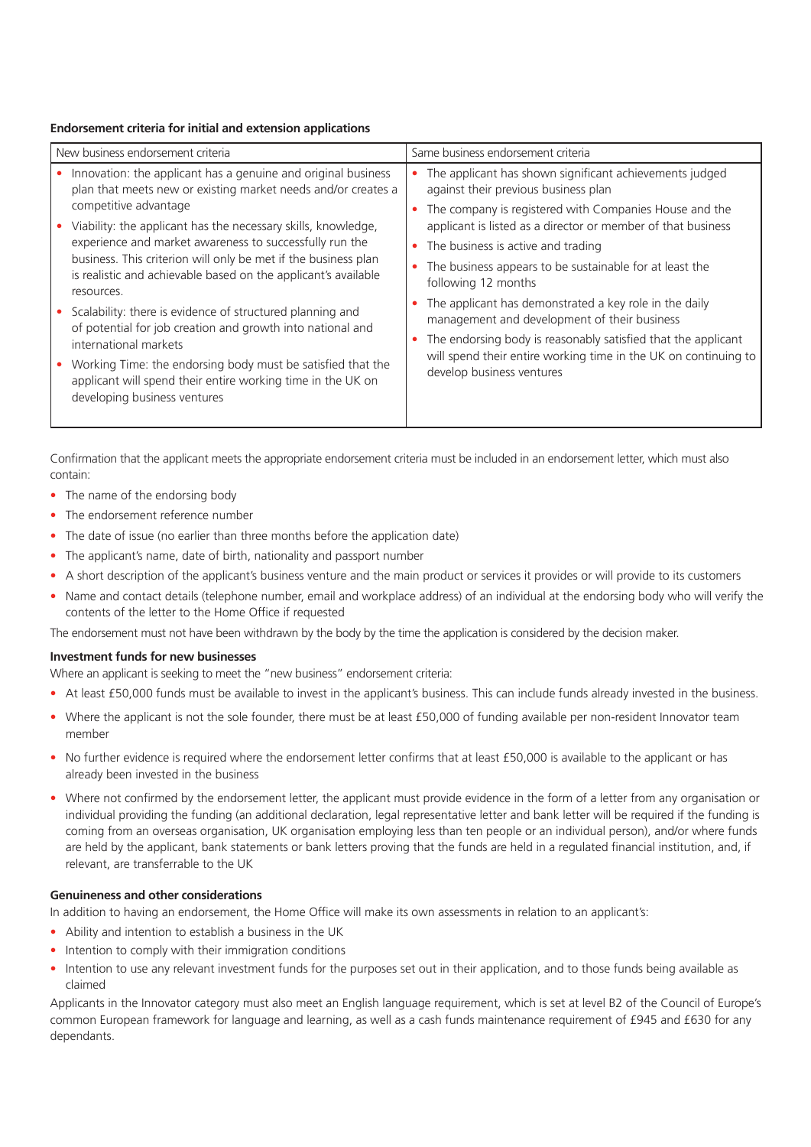#### **Endorsement criteria for initial and extension applications**

| New business endorsement criteria |                                                                                                                                                            | Same business endorsement criteria                                                                                                                            |
|-----------------------------------|------------------------------------------------------------------------------------------------------------------------------------------------------------|---------------------------------------------------------------------------------------------------------------------------------------------------------------|
|                                   | Innovation: the applicant has a genuine and original business<br>plan that meets new or existing market needs and/or creates a                             | The applicant has shown significant achievements judged<br>against their previous business plan                                                               |
|                                   | competitive advantage<br>Viability: the applicant has the necessary skills, knowledge,<br>experience and market awareness to successfully run the          | The company is registered with Companies House and the<br>applicant is listed as a director or member of that business                                        |
|                                   |                                                                                                                                                            | The business is active and trading                                                                                                                            |
|                                   | business. This criterion will only be met if the business plan<br>is realistic and achievable based on the applicant's available<br>resources.             | The business appears to be sustainable for at least the<br>following 12 months                                                                                |
|                                   | Scalability: there is evidence of structured planning and<br>of potential for job creation and growth into national and                                    | The applicant has demonstrated a key role in the daily<br>management and development of their business                                                        |
|                                   | international markets                                                                                                                                      | The endorsing body is reasonably satisfied that the applicant<br>will spend their entire working time in the UK on continuing to<br>develop business ventures |
|                                   | Working Time: the endorsing body must be satisfied that the<br>applicant will spend their entire working time in the UK on<br>developing business ventures |                                                                                                                                                               |

Confirmation that the applicant meets the appropriate endorsement criteria must be included in an endorsement letter, which must also contain:

- The name of the endorsing body
- The endorsement reference number
- The date of issue (no earlier than three months before the application date)
- The applicant's name, date of birth, nationality and passport number
- A short description of the applicant's business venture and the main product or services it provides or will provide to its customers
- Name and contact details (telephone number, email and workplace address) of an individual at the endorsing body who will verify the contents of the letter to the Home Office if requested

The endorsement must not have been withdrawn by the body by the time the application is considered by the decision maker.

#### **Investment funds for new businesses**

Where an applicant is seeking to meet the "new business" endorsement criteria:

- At least £50,000 funds must be available to invest in the applicant's business. This can include funds already invested in the business.
- Where the applicant is not the sole founder, there must be at least £50,000 of funding available per non-resident Innovator team member
- No further evidence is required where the endorsement letter confirms that at least £50,000 is available to the applicant or has already been invested in the business
- Where not confirmed by the endorsement letter, the applicant must provide evidence in the form of a letter from any organisation or individual providing the funding (an additional declaration, legal representative letter and bank letter will be required if the funding is coming from an overseas organisation, UK organisation employing less than ten people or an individual person), and/or where funds are held by the applicant, bank statements or bank letters proving that the funds are held in a regulated financial institution, and, if relevant, are transferrable to the UK

#### **Genuineness and other considerations**

In addition to having an endorsement, the Home Office will make its own assessments in relation to an applicant's:

- Ability and intention to establish a business in the UK
- Intention to comply with their immigration conditions
- Intention to use any relevant investment funds for the purposes set out in their application, and to those funds being available as claimed

Applicants in the Innovator category must also meet an English language requirement, which is set at level B2 of the Council of Europe's common European framework for language and learning, as well as a cash funds maintenance requirement of £945 and £630 for any dependants.